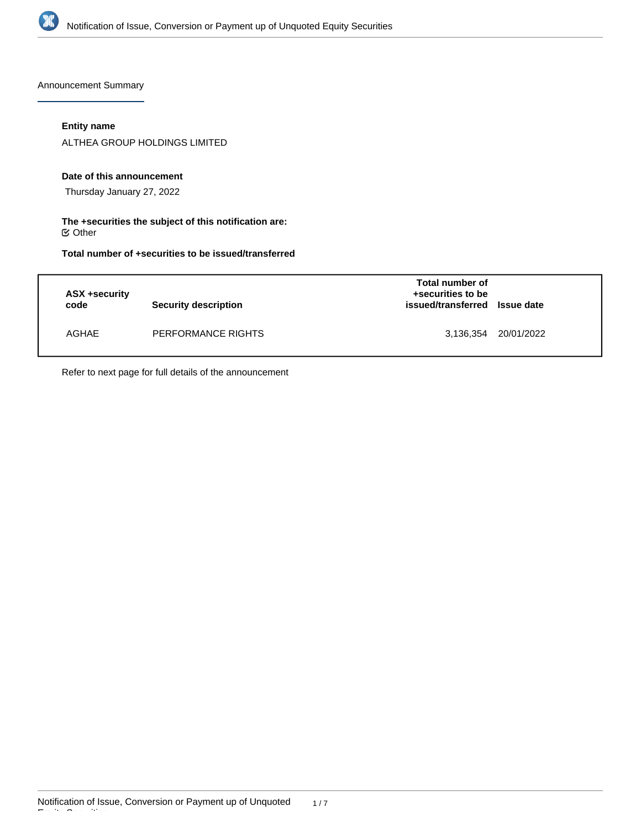

Announcement Summary

## **Entity name**

ALTHEA GROUP HOLDINGS LIMITED

### **Date of this announcement**

Thursday January 27, 2022

## **The +securities the subject of this notification are:**  $\mathfrak S$  Other

**Total number of +securities to be issued/transferred**

| ASX +security<br>code | Security description | Total number of<br>+securities to be<br>issued/transferred Issue date |                      |
|-----------------------|----------------------|-----------------------------------------------------------------------|----------------------|
| AGHAE                 | PERFORMANCE RIGHTS   |                                                                       | 3,136,354 20/01/2022 |

Refer to next page for full details of the announcement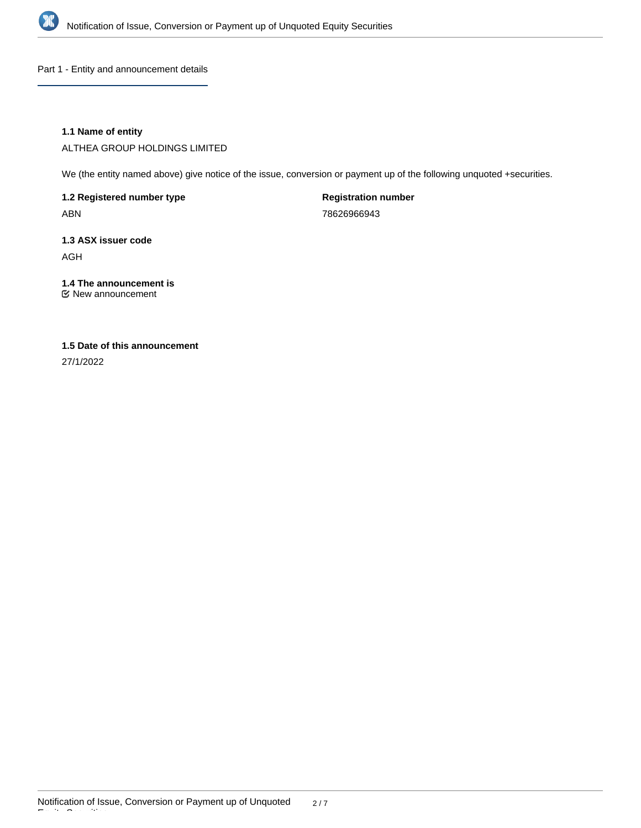

Part 1 - Entity and announcement details

## **1.1 Name of entity**

ALTHEA GROUP HOLDINGS LIMITED

We (the entity named above) give notice of the issue, conversion or payment up of the following unquoted +securities.

**1.2 Registered number type** ABN

**Registration number** 78626966943

**1.3 ASX issuer code**

AGH

**1.4 The announcement is** New announcement

# **1.5 Date of this announcement**

27/1/2022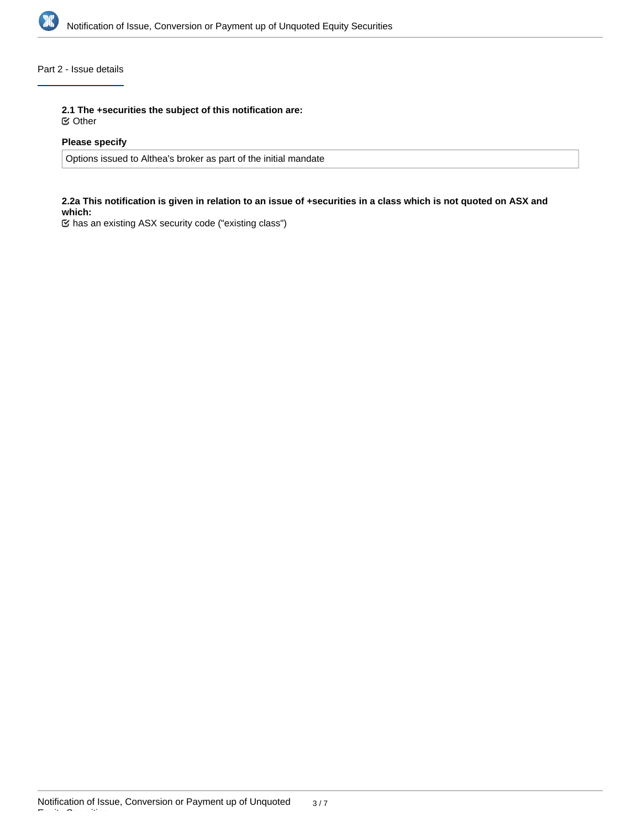

# Part 2 - Issue details

**2.1 The +securities the subject of this notification are:**

Other

## **Please specify**

Options issued to Althea's broker as part of the initial mandate

## **2.2a This notification is given in relation to an issue of +securities in a class which is not quoted on ASX and which:**

has an existing ASX security code ("existing class")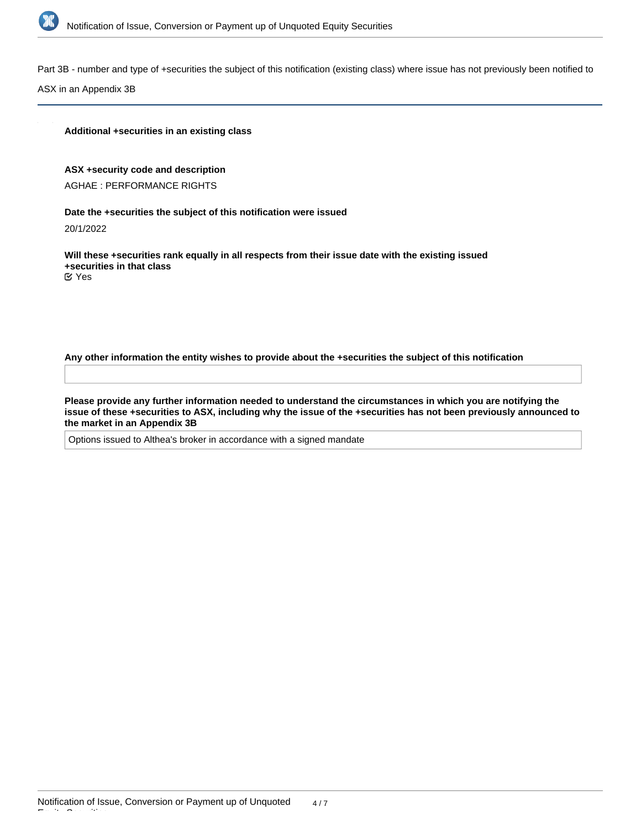

Part 3B - number and type of +securities the subject of this notification (existing class) where issue has not previously been notified to

ASX in an Appendix 3B

#### **Additional +securities in an existing class**

#### **ASX +security code and description**

AGHAE : PERFORMANCE RIGHTS

#### **Date the +securities the subject of this notification were issued**

20/1/2022

**Will these +securities rank equally in all respects from their issue date with the existing issued +securities in that class** Yes

**Any other information the entity wishes to provide about the +securities the subject of this notification**

**Please provide any further information needed to understand the circumstances in which you are notifying the issue of these +securities to ASX, including why the issue of the +securities has not been previously announced to the market in an Appendix 3B**

Options issued to Althea's broker in accordance with a signed mandate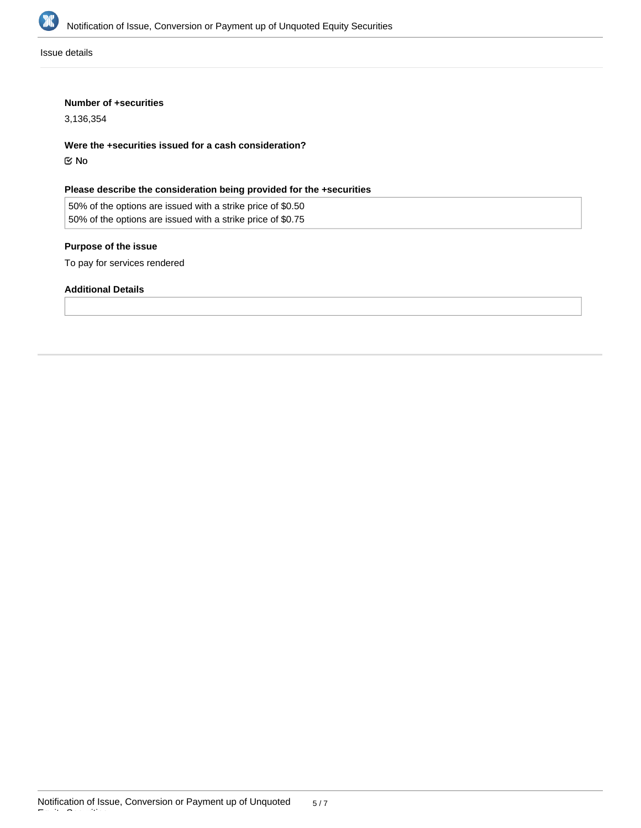

Issue details

## **Number of +securities**

3,136,354

**Were the +securities issued for a cash consideration?**

No

# **Please describe the consideration being provided for the +securities**

50% of the options are issued with a strike price of \$0.50 50% of the options are issued with a strike price of \$0.75

# **Purpose of the issue**

To pay for services rendered

## **Additional Details**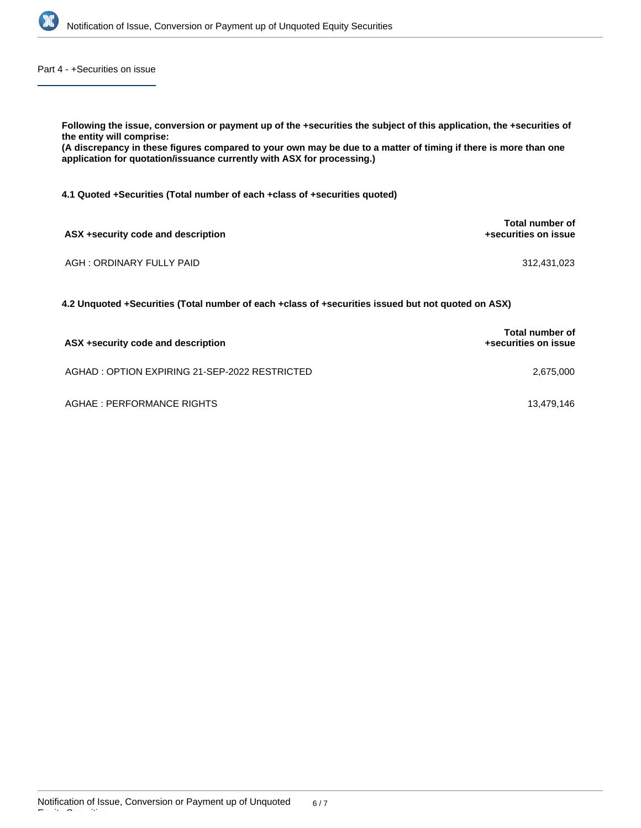

Part 4 - +Securities on issue

| Following the issue, conversion or payment up of the +securities the subject of this application, the +securities of<br>the entity will comprise:<br>(A discrepancy in these figures compared to your own may be due to a matter of timing if there is more than one<br>application for quotation/issuance currently with ASX for processing.) |                                         |
|------------------------------------------------------------------------------------------------------------------------------------------------------------------------------------------------------------------------------------------------------------------------------------------------------------------------------------------------|-----------------------------------------|
| 4.1 Quoted +Securities (Total number of each +class of +securities quoted)                                                                                                                                                                                                                                                                     |                                         |
| ASX +security code and description                                                                                                                                                                                                                                                                                                             | Total number of<br>+securities on issue |
| AGH: ORDINARY FULLY PAID                                                                                                                                                                                                                                                                                                                       | 312,431,023                             |
| 4.2 Unquoted +Securities (Total number of each +class of +securities issued but not quoted on ASX)                                                                                                                                                                                                                                             |                                         |

| ASX +security code and description            | Total number of<br>+securities on issue |  |
|-----------------------------------------------|-----------------------------------------|--|
| AGHAD: OPTION EXPIRING 21-SEP-2022 RESTRICTED | 2.675.000                               |  |
| AGHAE : PERFORMANCE RIGHTS                    | 13.479.146                              |  |